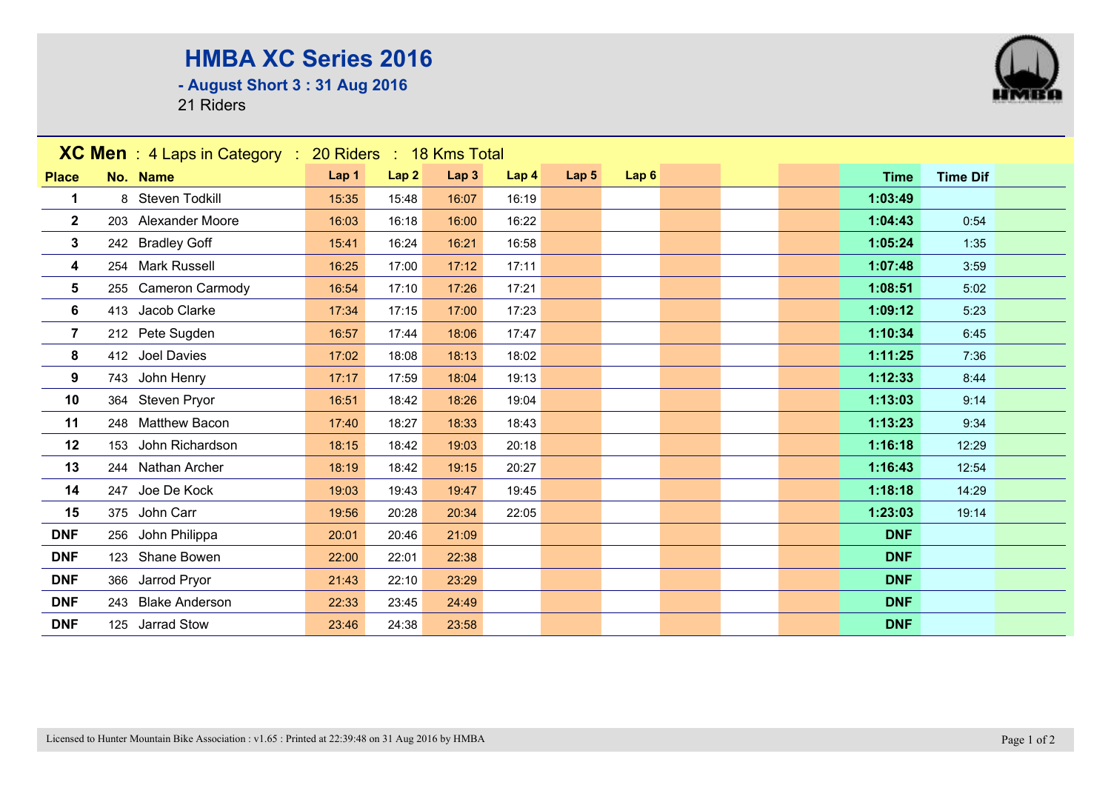## **HMBA XC Series 2016**

**- August Short 3 : 31 Aug 2016**

21 Riders